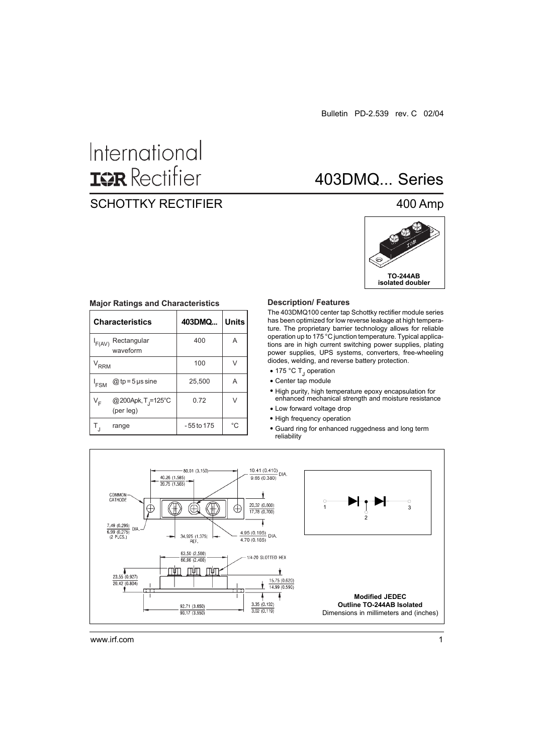# International **ISR** Rectifier

# SCHOTTKY RECTIFIER

# 403DMQ... Series

### 400 Amp



| <b>Characteristics</b>                                        | 403DMQ       | <b>Units</b> |  |
|---------------------------------------------------------------|--------------|--------------|--|
| Rectangular<br>$I_{F(AV)}$<br>waveform                        | 400          | A            |  |
| $V_{RRM}$                                                     | 100          |              |  |
| $@tp = 5$ µs sine<br>$I_{FSM}$                                | 25,500       | A            |  |
| @200Apk, T <sub>J</sub> =125°C<br>V <sub>F</sub><br>(per leg) | 0.72         | $\vee$       |  |
| range                                                         | $-55$ to 175 | °C           |  |

#### **Major Ratings and Characteristics Description/ Features**

The 403DMQ100 center tap Schottky rectifier module series has been optimized for low reverse leakage at high temperature. The proprietary barrier technology allows for reliable operation up to 175 °C junction temperature. Typical applications are in high current switching power supplies, plating power supplies, UPS systems, converters, free-wheeling diodes, welding, and reverse battery protection.

- 175 °C T<sub>J</sub> operation
- Center tap module
- High purity, high temperature epoxy encapsulation for enhanced mechanical strength and moisture resistance
- Low forward voltage drop
- High frequency operation
- Guard ring for enhanced ruggedness and long term reliability



www.irf.com 1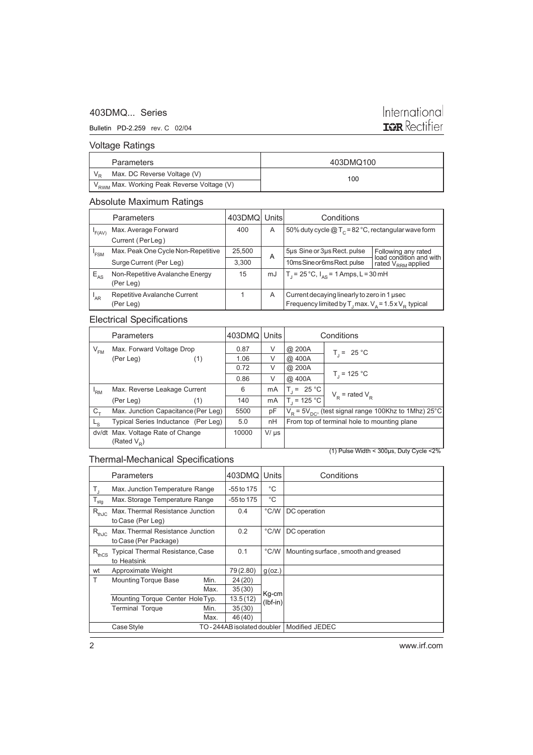### 403DMQ... Series

### Bulletin PD-2.259 rev. C 02/04

# International<br>**IGR** Rectifier

### Voltage Ratings

| Parameters                                             | 403DMQ100 |
|--------------------------------------------------------|-----------|
| Max. DC Reverse Voltage (V)                            | 100       |
| V <sub>RWM</sub> Max. Working Peak Reverse Voltage (V) |           |

### Absolute Maximum Ratings

|          | <b>Parameters</b>                            | 403DMQ Units |    | Conditions                                                                                                             |                                                       |  |
|----------|----------------------------------------------|--------------|----|------------------------------------------------------------------------------------------------------------------------|-------------------------------------------------------|--|
| F(AV)    | Max. Average Forward<br>Current (Per Leg)    | 400          | A  |                                                                                                                        | 50% duty cycle $@T_c = 82 °C$ , rectangular wave form |  |
| 'FSM     | Max. Peak One Cycle Non-Repetitive           | 25,500       | A  | 5µs Sine or 3µs Rect. pulse                                                                                            | Following any rated<br>load condition and with        |  |
|          | Surge Current (Per Leg)                      | 3.300        |    | 10ms Sine or 6ms Rect. pulse                                                                                           | rated V <sub>RRM</sub> applied                        |  |
| $E_{AS}$ | Non-Repetitive Avalanche Energy<br>(Per Leg) | 15           | mJ | $T_1 = 25^{\circ}C$ , $I_{AS} = 1$ Amps, L = 30 mH                                                                     |                                                       |  |
| 'AR      | Repetitive Avalanche Current<br>(Per Leg)    |              | A  | Current decaying linearly to zero in 1 usec<br>Frequency limited by T <sub>1</sub> max. $V_A = 1.5 \times V_B$ typical |                                                       |  |

### Electrical Specifications

|             | <b>Parameters</b>                                |                                     | 403DMQ Units |           | Conditions                                                   |                     |  |
|-------------|--------------------------------------------------|-------------------------------------|--------------|-----------|--------------------------------------------------------------|---------------------|--|
| $V_{FM}$    | Max. Forward Voltage Drop                        |                                     | 0.87         | V         | @ 200A                                                       | $T_i = 25 °C$       |  |
|             | (Per Leg)                                        | (1)                                 | 1.06         | V         | @ 400A                                                       |                     |  |
|             |                                                  |                                     | 0.72         | V         | @ 200A                                                       |                     |  |
|             |                                                  |                                     | 0.86         | V         | @ 400A                                                       | $T_{1}$ = 125 °C    |  |
| 'RM         | Max. Reverse Leakage Current                     |                                     | 6            | mA        | $T_i = 25 °C$                                                | $V_p$ = rated $V_p$ |  |
|             | (Per Leg)                                        | (1)                                 | 140          | mA        | $T_{1}$ = 125 °C                                             |                     |  |
| $C_{+}$     |                                                  | Max. Junction Capacitance (Per Leg) | 5500         | pF        | $V_R$ = 5 $V_{DC}$ , (test signal range 100Khz to 1Mhz) 25°C |                     |  |
| $L_{\rm S}$ |                                                  | Typical Series Inductance (Per Leg) | 5.0          | nH        | From top of terminal hole to mounting plane                  |                     |  |
|             | dv/dt Max. Voltage Rate of Change                |                                     | 10000        | $V/\mu s$ |                                                              |                     |  |
|             | (Rated $V_p$ )                                   |                                     |              |           |                                                              |                     |  |
|             | $(1)$ Pulse Width < 300 $\mu$ s, Duty Cycle < 2% |                                     |              |           |                                                              |                     |  |

### Thermal-Mechanical Specifications

|                                  | Parameters                                                | 403DMQ       | Units               | Conditions                           |
|----------------------------------|-----------------------------------------------------------|--------------|---------------------|--------------------------------------|
| T,                               | Max. Junction Temperature Range                           | -55 to 175   | °C                  |                                      |
| $T_{\text{stg}}$                 | Max. Storage Temperature Range                            | $-55$ to 175 | °C                  |                                      |
| $R_{thJC}$                       | Max. Thermal Resistance Junction<br>to Case (Per Leg)     | 0.4          | $\degree$ C/W       | DC operation                         |
| $R_{thJC}$                       | Max. Thermal Resistance Junction<br>to Case (Per Package) | 0.2          | $\degree$ C/W       | DC operation                         |
| $R_{thCS}$                       | Typical Thermal Resistance, Case<br>to Heatsink           | 0.1          | $^{\circ}$ C/W      | Mounting surface, smooth and greased |
| wt                               | Approximate Weight                                        | 79(2.80)     | $g$ (oz.)           |                                      |
| T                                | <b>Mounting Torque Base</b><br>Min.                       | 24(20)       |                     |                                      |
|                                  | Max.                                                      | 35(30)       |                     |                                      |
| Mounting Torque Center Hole Typ. |                                                           | 13.5(12)     | Kg-cm<br>$(lbf-in)$ |                                      |
|                                  | <b>Terminal Torque</b><br>Min.                            | 35(30)       |                     |                                      |
|                                  | Max.                                                      | 46 (40)      |                     |                                      |
|                                  | Case Style<br>TO - 244AB isolated doubler                 |              | Modified JEDEC      |                                      |

www.irf.com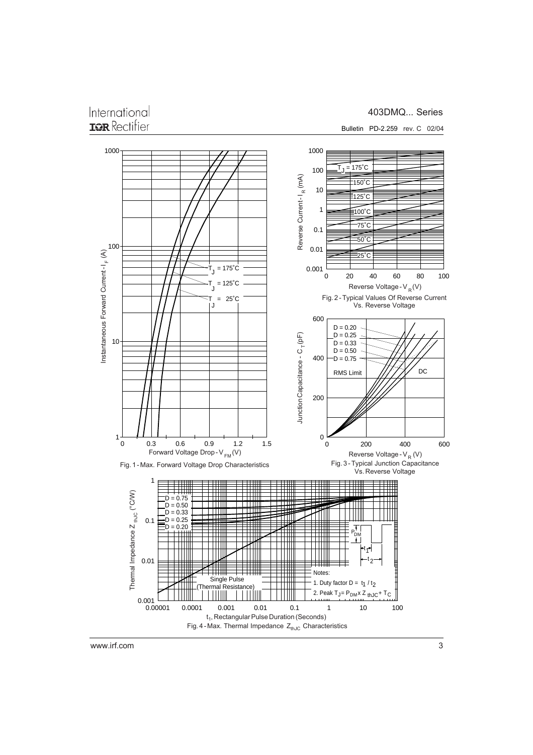## International **IGR** Rectifier

### 403DMQ... Series



www.irf.com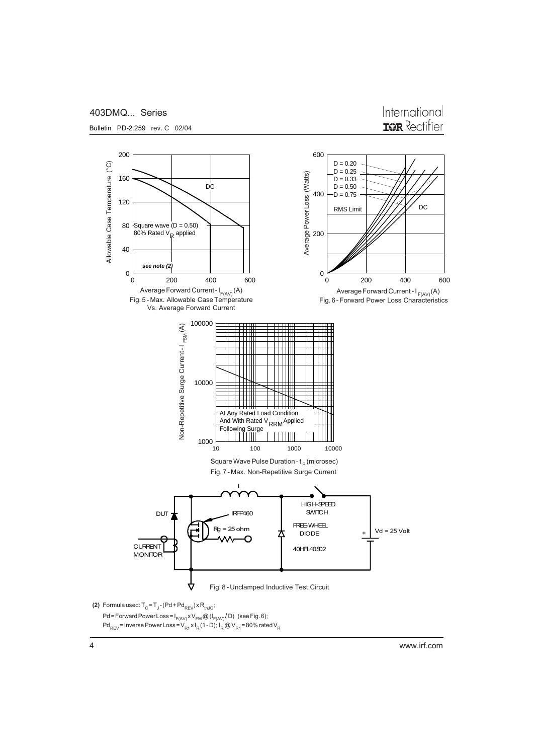

Bulletin PD-2.259 rev. C 02/04



200 600  $\widetilde{C}$  $D = 0.20$ Allowable Case Temperature (°C)  $D = 0.25$ Average Power Loss (Watts) Average Power Loss (Watts) Allowable Case Temperature 160  $D = 0.33$ D<sub>C</sub>  $D = 0.50$ 400  $-D = 0.75$ 120 RMS Limit  $\frac{1}{1}$ Square wave  $(D = 0.50)$ 80 80% Rated V<sub>R</sub> applied 200 40 *see note (2)*  $0\frac{L}{0}$  $\Omega$ 0 200 400 600 0 200 400 600 Average Forward Current -  $I_{F(AV)}(A)$ <br>Fig. 5 - Max. Allowable Case Temperature Average Forward Current - I<sub>F(AV)</sub> (A) and the Section of Average Forward Current - I<sub>F(AV)</sub> (A) Average Forward Current - I<sub>F(AV)</sub> (A) and the Section of Section Average Forward Power Loss Characteristics Vs. Average Forward Current 100000 Non-Repetitive Surge Current-I FSM(A) Non-Repetitive Surge Current - I <sub>FSM</sub>(A)  $\mathbf{1}$ 10000  $\overline{\phantom{a}}$ <u> E TITLA</u> At Any Rated Load Condition And With Rated V<sub>RRM</sub> Applied Following Surge<br>  $\begin{array}{c|c|c|c|c} \hline \text{Following Surge} & & \text{RRM} \end{array}$  $1000\frac{1}{10}$ 100 1000 10000 Square Wave Pulse Duration -  $t_{\rm p}$  (microsec) Fig. 7 - Max. Non-Repetitive Surge Current L HIGH-SPEED **IRF460** SWITCH DUT FREE-WHEEL  $Rg = 25 \text{ ohm}$   $\uparrow$   $\uparrow$  DIODE  $\uparrow$   $\downarrow$  Vd = 25 Volt DIODE CURRENT  $\begin{array}{|c|c|c|c|c|}\n\hline\n& & & \mbox{\textbf{0}} & \mbox{\textbf{0}} & \mbox{\textbf{0}} & \mbox{\textbf{0}} & \mbox{\textbf{0}} & \mbox{\textbf{0}} & \mbox{\textbf{0}} & \mbox{\textbf{0}} & \mbox{\textbf{0}} & \mbox{\textbf{0}} & \mbox{\textbf{0}} & \mbox{\textbf{0}} & \mbox{\textbf{0}} & \mbox{\textbf{0}} & \mbox{\textbf{0}} & \mbox{\textbf{0}} & \mbox{\textbf{0}} & \mbox{\textbf{0}} & \mbox{\textbf{$ MONITOR ₩ Fig. 8 - Unclamped Inductive Test Circuit **(2)** Formula used:  $T^{\text{C}} = T^{\text{C}} - (Pd + Pd^{\text{R}}_{\text{REV}}) \times R^{\text{th,IC}}$ ;

www.irf.com

Pd = Forward Power Loss =  $I_{F(AV)}$ x V<sub>FM</sub> @ ( $I_{F(AV)}$ /D) (see Fig. 6); Pd<sub>REV</sub> = Inverse Power Loss = V<sub>R1</sub> x I<sub>R</sub> (1 - D); I<sub>R</sub> @ V<sub>R1</sub> = 80% rated V<sub>R</sub>